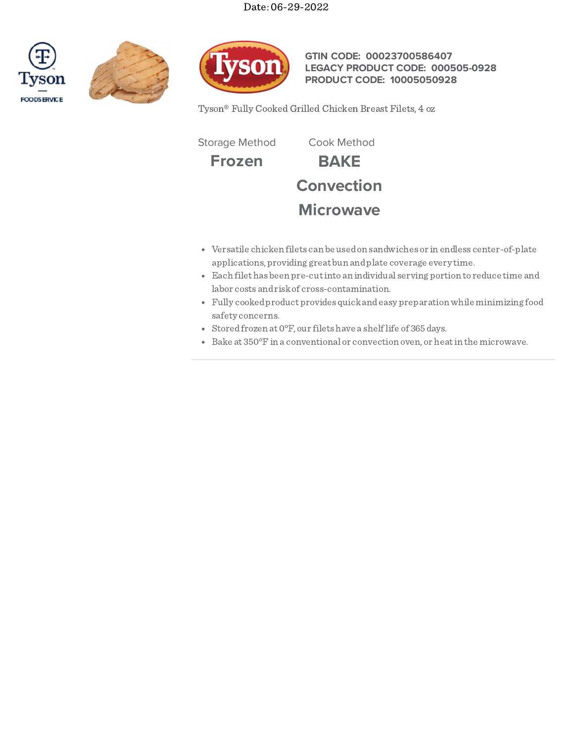Date: 06-29-2022







**GTIN CODE: 00023700586407 LEGACY PRODUCT CODE: 000505-0928 PRODUCT CODE: 10005050928**

Tyson® Fully Cooked Grilled Chicken Breast Filets, 4 oz

Storage Method Cook Method

**Frozen BAKE**

**Convection**

# **Microwave**

- Versatile chicken filets can be usedon sandwiches or in endless center-of-plate applications, providing great bun andplate coverage every time.
- Each filet has been pre-cutinto an individual serving portion to reduce time and labor costs andriskof cross-contamination.
- Fully cookedproduct provides quickandeasy preparationwhile minimizing food safety concerns.
- Stored frozen at  $0^{\circ}$ F, our filets have a shelf life of 365 days.
- Bake at 350°Fin a conventional or convection oven, or heatin the microwave.